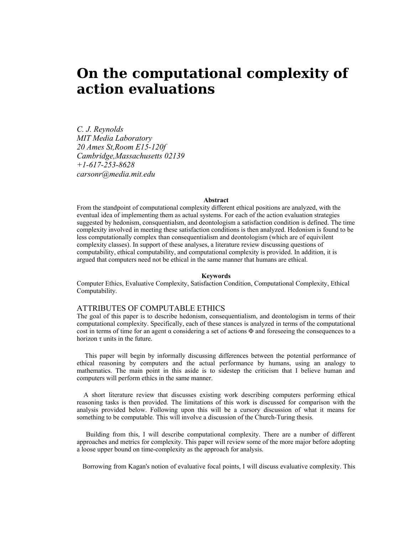# **On the computational complexity of action evaluations**

*C. J. Reynolds MIT Media Laboratory 20 Ames St,Room E15-120f Cambridge,Massachusetts 02139 +1-617-253-8628 carsonr@media.mit.edu*

## **Abstract**

From the standpoint of computational complexity different ethical positions are analyzed, with the eventual idea of implementing them as actual systems. For each of the action evaluation strategies suggested by hedonism, consquentialsm, and deontologism a satisfaction condition is defined. The time complexity involved in meeting these satisfaction conditions is then analyzed. Hedonism is found to be less computationally complex than consequentialism and deontologism (which are of equivilent complexity classes). In support of these analyses, a literature review discussing questions of computability, ethical computability, and computational complexity is provided. In addition, it is argued that computers need not be ethical in the same manner that humans are ethical.

#### **Keywords**

Computer Ethics, Evaluative Complexity, Satisfaction Condition, Computational Complexity, Ethical Computability.

# ATTRIBUTES OF COMPUTABLE ETHICS

The goal of this paper is to describe hedonism, consequentialism, and deontologism in terms of their computational complexity. Specifically, each of these stances is analyzed in terms of the computational cost in terms of time for an agent  $\alpha$  considering a set of actions  $\Phi$  and foreseeing the consequences to a horizon  $\tau$  units in the future.

This paper will begin by informally discussing differences between the potential performance of ethical reasoning by computers and the actual performance by humans, using an analogy to mathematics. The main point in this aside is to sidestep the criticism that I believe human and computers will perform ethics in the same manner.

A short literature review that discusses existing work describing computers performing ethical reasoning tasks is then provided. The limitations of this work is discussed for comparison with the analysis provided below. Following upon this will be a cursory discussion of what it means for something to be computable. This will involve a discussion of the Church-Turing thesis.

Building from this, I will describe computational complexity. There are a number of different approaches and metrics for complexity. This paper will review some of the more major before adopting a loose upper bound on time-complexity as the approach for analysis.

Borrowing from Kagan's notion of evaluative focal points, I will discuss evaluative complexity. This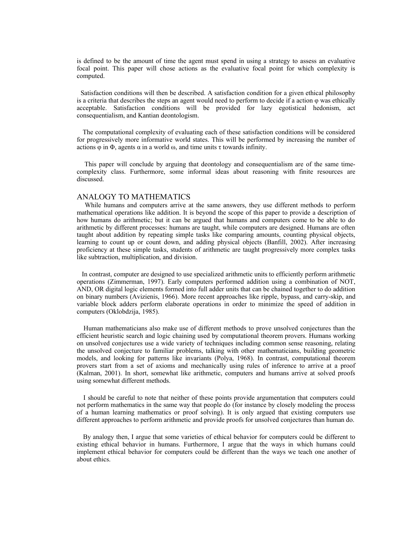is defined to be the amount of time the agent must spend in using a strategy to assess an evaluative focal point. This paper will chose actions as the evaluative focal point for which complexity is computed.

Satisfaction conditions will then be described. A satisfaction condition for a given ethical philosophy is a criteria that describes the steps an agent would need to perform to decide if a action  $\varphi$  was ethically acceptable. Satisfaction conditions will be provided for lazy egotistical hedonism, act consequentialism, and Kantian deontologism.

The computational complexity of evaluating each of these satisfaction conditions will be considered for progressively more informative world states. This will be performed by increasing the number of actions  $\varphi$  in  $\Phi$ , agents  $\alpha$  in a world  $\omega$ , and time units  $\tau$  towards infinity.

This paper will conclude by arguing that deontology and consequentialism are of the same timecomplexity class. Furthermore, some informal ideas about reasoning with finite resources are discussed.

## ANALOGY TO MATHEMATICS

While humans and computers arrive at the same answers, they use different methods to perform mathematical operations like addition. It is beyond the scope of this paper to provide a description of how humans do arithmetic; but it can be argued that humans and computers come to be able to do arithmetic by different processes: humans are taught, while computers are designed. Humans are often taught about addition by repeating simple tasks like comparing amounts, counting physical objects, learning to count up or count down, and adding physical objects (Banfill, 2002). After increasing proficiency at these simple tasks, students of arithmetic are taught progressively more complex tasks like subtraction, multiplication, and division.

 In contrast, computer are designed to use specialized arithmetic units to efficiently perform arithmetic operations (Zimmerman, 1997). Early computers performed addition using a combination of NOT, AND, OR digital logic elements formed into full adder units that can be chained together to do addition on binary numbers (Avizienis, 1966). More recent approaches like ripple, bypass, and carry-skip, and variable block adders perform elaborate operations in order to minimize the speed of addition in computers (Oklobdzija, 1985).

Human mathematicians also make use of different methods to prove unsolved conjectures than the efficient heuristic search and logic chaining used by computational theorem provers. Humans working on unsolved conjectures use a wide variety of techniques including common sense reasoning, relating the unsolved conjecture to familiar problems, talking with other mathematicians, building geometric models, and looking for patterns like invariants (Polya, 1968). In contrast, computational theorem provers start from a set of axioms and mechanically using rules of inference to arrive at a proof (Kalman, 2001). In short, somewhat like arithmetic, computers and humans arrive at solved proofs using somewhat different methods.

I should be careful to note that neither of these points provide argumentation that computers could not perform mathematics in the same way that people do (for instance by closely modeling the process of a human learning mathematics or proof solving). It is only argued that existing computers use different approaches to perform arithmetic and provide proofs for unsolved conjectures than human do.

By analogy then, I argue that some varieties of ethical behavior for computers could be different to existing ethical behavior in humans. Furthermore, I argue that the ways in which humans could implement ethical behavior for computers could be different than the ways we teach one another of about ethics.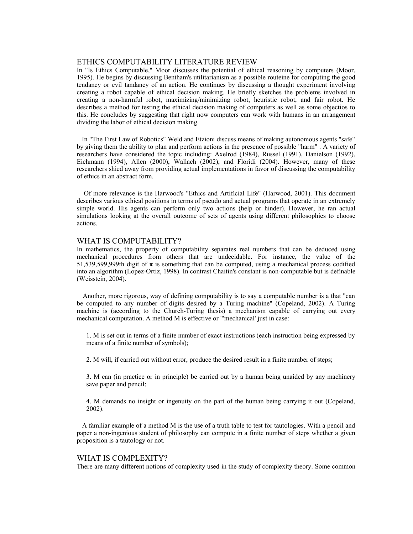# ETHICS COMPUTABILITY LITERATURE REVIEW

In "Is Ethics Computable," Moor discusses the potential of ethical reasoning by computers (Moor, 1995). He begins by discussing Bentham's utilitarianism as a possible routeine for computing the good tendancy or evil tandancy of an action. He continues by discussing a thought experiment involving creating a robot capable of ethical decision making. He briefly sketches the problems involved in creating a non-harmful robot, maximizing/minimizing robot, heuristic robot, and fair robot. He describes a method for testing the ethical decision making of computers as well as some objectios to this. He concludes by suggesting that right now computers can work with humans in an arrangement dividing the labor of ethical decision making.

In "The First Law of Robotics" Weld and Etzioni discuss means of making autonomous agents "safe" by giving them the ability to plan and perform actions in the presence of possible "harm" . A variety of researchers have considered the topic including: Axelrod (1984), Russel (1991), Danielson (1992), Eichmann (1994), Allen (2000), Wallach (2002), and Floridi (2004). However, many of these researchers shied away from providing actual implementations in favor of discussing the computability of ethics in an abstract form.

Of more relevance is the Harwood's "Ethics and Artificial Life" (Harwood, 2001). This document describes various ethical positions in terms of pseudo and actual programs that operate in an extremely simple world. His agents can perform only two actions (help or hinder). However, he ran actual simulations looking at the overall outcome of sets of agents using different philosophies to choose actions.

# WHAT IS COMPUTABILITY?

In mathematics, the property of computability separates real numbers that can be deduced using mechanical procedures from others that are undecidable. For instance, the value of the 51,539,599,999th digit of  $\pi$  is something that can be computed, using a mechanical process codified into an algorithm (Lopez-Ortiz, 1998). In contrast Chaitin's constant is non-computable but is definable (Weisstein, 2004).

Another, more rigorous, way of defining computability is to say a computable number is a that "can be computed to any number of digits desired by a Turing machine" (Copeland, 2002). A Turing machine is (according to the Church-Turing thesis) a mechanism capable of carrying out every mechanical computation. A method M is effective or "'mechanical' just in case:

1. M is set out in terms of a finite number of exact instructions (each instruction being expressed by means of a finite number of symbols);

2. M will, if carried out without error, produce the desired result in a finite number of steps;

3. M can (in practice or in principle) be carried out by a human being unaided by any machinery save paper and pencil;

4. M demands no insight or ingenuity on the part of the human being carrying it out (Copeland, 2002).

A familiar example of a method M is the use of a truth table to test for tautologies. With a pencil and paper a non-ingenious student of philosophy can compute in a finite number of steps whether a given proposition is a tautology or not.

## WHAT IS COMPLEXITY?

There are many different notions of complexity used in the study of complexity theory. Some common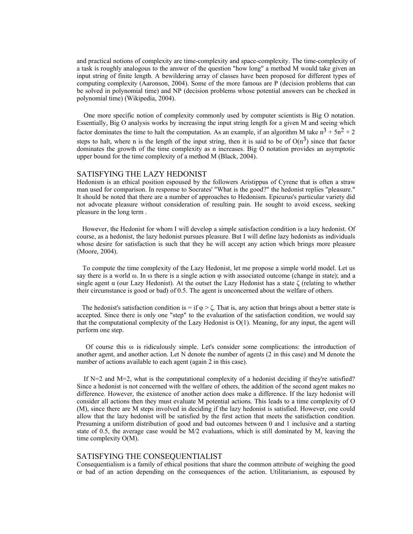and practical notions of complexity are time-complexity and space-complexity. The time-complexity of a task is roughly analogous to the answer of the question "how long" a method M would take given an input string of finite length. A bewildering array of classes have been proposed for different types of computing complexity (Aaronson, 2004). Some of the more famous are P (decision problems that can be solved in polynomial time) and NP (decision problems whose potential answers can be checked in polynomial time) (Wikipedia, 2004).

One more specific notion of complexity commonly used by computer scientists is Big O notation. Essentially, Big O analysis works by increasing the input string length for a given M and seeing which factor dominates the time to halt the computation. As an example, if an algorithm M take  $n^3 + 5n^2 + 2$ steps to halt, where n is the length of the input string, then it is said to be of  $O(n^3)$  since that factor dominates the growth of the time complexity as n increases. Big O notation provides an asymptotic upper bound for the time complexity of a method M (Black, 2004).

# SATISFYING THE LAZY HEDONIST

Hedonism is an ethical position espoused by the followers Aristippus of Cyrene that is often a straw man used for comparison. In response to Socrates' "What is the good?" the hedonist replies "pleasure." It should be noted that there are a number of approaches to Hedonism. Epicurus's particular variety did not advocate pleasure without consideration of resulting pain. He sought to avoid excess, seeking pleasure in the long term .

However, the Hedonist for whom I will develop a simple satisfaction condition is a lazy hedonist. Of course, as a hedonist, the lazy hedonist pursues pleasure. But I will define lazy hedonists as individuals whose desire for satisfaction is such that they he will accept any action which brings more pleasure (Moore, 2004).

To compute the time complexity of the Lazy Hedonist, let me propose a simple world model. Let us say there is a world ω. In ω there is a single action φ with associated outcome (change in state); and a single agent  $\alpha$  (our Lazy Hedonist). At the outset the Lazy Hedonist has a state  $\zeta$  (relating to whether their circumstance is good or bad) of 0.5. The agent is unconcerned about the welfare of others.

The hedonist's satisfaction condition is = if  $\varphi > \zeta$ . That is, any action that brings about a better state is accepted. Since there is only one "step" to the evaluation of the satisfaction condition, we would say that the computational complexity of the Lazy Hedonist is O(1). Meaning, for any input, the agent will perform one step.

Of course this  $\omega$  is ridiculously simple. Let's consider some complications: the introduction of another agent, and another action. Let N denote the number of agents (2 in this case) and M denote the number of actions available to each agent (again 2 in this case).

If  $N=2$  and  $M=2$ , what is the computational complexity of a hedonist deciding if they're satisfied? Since a hedonist is not concerned with the welfare of others, the addition of the second agent makes no difference. However, the existence of another action does make a difference. If the lazy hedonist will consider all actions then they must evaluate M potential actions. This leads to a time complexity of O (M), since there are M steps involved in deciding if the lazy hedonist is satisfied. However, one could allow that the lazy hedonist will be satisfied by the first action that meets the satisfaction condition. Presuming a uniform distribution of good and bad outcomes between 0 and 1 inclusive and a starting state of 0.5, the average case would be M/2 evaluations, which is still dominated by M, leaving the time complexity O(M).

# SATISFYING THE CONSEQUENTIALIST

Consequentialism is a family of ethical positions that share the common attribute of weighing the good or bad of an action depending on the consequences of the action. Utilitarianism, as espoused by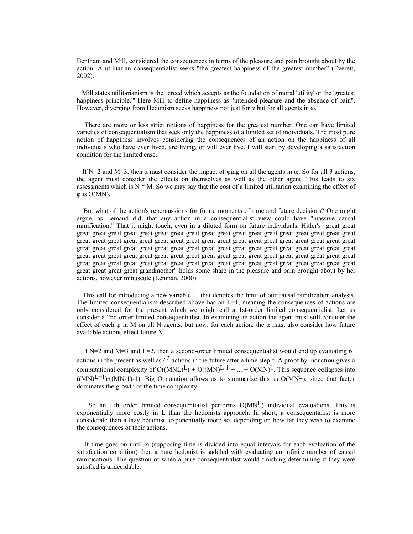Bentham and Mill, considered the consequences in terms of the pleasure and pain brought about by the action. A utilitarian consequentialist seeks "the greatest happiness of the greatest number" (Everett, 2002).

 Mill states utilitarianism is the "creed which accepts as the foundation of moral 'utility' or the 'greatest happiness principle.'" Here Mill to define happiness as "intended pleasure and the absence of pain". However, diverging from Hedonism seeks happiness not just for  $\alpha$  but for all agents in  $\omega$ .

There are more or less strict notions of happiness for the greatest number. One can have limited varieties of consequentialism that seek only the happiness of a limited set of individuals. The most pure notion of happiness involves considering the consequences of an action on the happiness of all individuals who have ever lived, are living, or will ever live. I will start by developing a satisfaction condition for the limited case.

If N=2 and M=3, then  $\alpha$  must consider the impact of  $\varphi$ ing on all the agents in  $\omega$ . So for all 3 actions, the agent must consider the effects on themselves as well as the other agent. This leads to six assessments which is  $N^* M$ . So we may say that the cost of a limited utilitarian examining the effect of  $φ$  is  $O(MN)$ .

But what of the action's repercussions for future moments of time and future decisions? One might argue, as Lemand did, that any action in a consequentialist view could have "massive causal ramification." That it might touch, even in a diluted form on future individuals. Hitler's "great great great great great great great great great great great great great great great great great great great great great great great great great great great great great great great great great great great great great great great great great great great great great great great great great great great great great great great great great great great great great great great great great great great great great great great great great great great great great great great great great great great great great great great great great great great great great great great great grandmother" holds some share in the pleasure and pain brought about by her actions, however minuscule (Lenman, 2000).

This call for introducing a new variable L, that denotes the limit of our causal ramification analysis. The limited consequentialism described above has an  $L=1$ , meaning the consequences of actions are only considered for the present which we might call a 1st-order limited consequentialist. Let us consider a 2nd-order limited consequentialist. In examining an action the agent must still consider the effect of each  $\varphi$  in M on all N agents, but now, for each action, the  $\alpha$  must also consider how future available actions effect future N.

If N=2 and M=3 and L=2, then a second-order limited consequentialist would end up evaluating  $6<sup>1</sup>$ actions in the present as well as  $6^2$  actions in the future after a time step  $\tau$ . A proof by induction gives a computational complexity of  $O((MNL)^{L}) + O((MN)^{L-1} + ... + O(MN)^{1}$ . This sequence collapses into  $((MN)^{L+1}/((MN-1)-1)$ . Big O notation allows us to summarize this as  $O(MN^L)$ , since that factor dominates the growth of the time complexity.

So an Lth order limited consequentialist performs  $O(MN<sup>L</sup>)$  individual evaluations. This is exponentially more costly in L than the hedonists approach. In short, a consequentialist is more considerate than a lazy hedonist, exponentially more so, depending on how far they wish to examine the consequences of their actions.

If time goes on until  $\infty$  (supposing time is divided into equal intervals for each evaluation of the satisfaction condition) then a pure hedonist is saddled with evaluating an infinite number of causal ramifications. The question of when a pure consequentialist would finishing determining if they were satisfied is undecidable.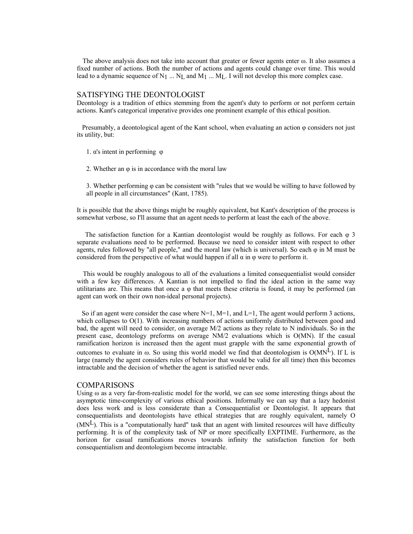The above analysis does not take into account that greater or fewer agents enter  $\omega$ . It also assumes a fixed number of actions. Both the number of actions and agents could change over time. This would lead to a dynamic sequence of N<sub>1</sub> ... N<sub>L</sub> and M<sub>1</sub> ... M<sub>L</sub>. I will not develop this more complex case.

## SATISFYING THE DEONTOLOGIST

Deontology is a tradition of ethics stemming from the agent's duty to perform or not perform certain actions. Kant's categorical imperative provides one prominent example of this ethical position.

Presumably, a deontological agent of the Kant school, when evaluating an action φ considers not just its utility, but:

1. α's intent in performing φ

2. Whether an φ is in accordance with the moral law

3. Whether performing  $\varphi$  can be consistent with "rules that we would be willing to have followed by all people in all circumstances" (Kant, 1785).

It is possible that the above things might be roughly equivalent, but Kant's description of the process is somewhat verbose, so I'll assume that an agent needs to perform at least the each of the above.

The satisfaction function for a Kantian deontologist would be roughly as follows. For each φ 3 separate evaluations need to be performed. Because we need to consider intent with respect to other agents, rules followed by "all people," and the moral law (which is universal). So each  $\varphi$  in M must be considered from the perspective of what would happen if all  $\alpha$  in  $\varphi$  were to perform it.

This would be roughly analogous to all of the evaluations a limited consequentialist would consider with a few key differences. A Kantian is not impelled to find the ideal action in the same way utilitarians are. This means that once a  $\varphi$  that meets these criteria is found, it may be performed (an agent can work on their own non-ideal personal projects).

So if an agent were consider the case where  $N=1$ ,  $M=1$ , and  $L=1$ , The agent would perform 3 actions, which collapses to  $O(1)$ . With increasing numbers of actions uniformly distributed between good and bad, the agent will need to consider, on average M/2 actions as they relate to N individuals. So in the present case, deontology preforms on average NM/2 evaluations which is O(MN). If the casual ramification horizon is increased then the agent must grapple with the same exponential growth of outcomes to evaluate in  $\omega$ . So using this world model we find that deontologism is  $O(MN^L)$ . If L is large (namely the agent considers rules of behavior that would be valid for all time) then this becomes intractable and the decision of whether the agent is satisfied never ends.

## COMPARISONS

Using  $\omega$  as a very far-from-realistic model for the world, we can see some interesting things about the asymptotic time-complexity of various ethical positions. Informally we can say that a lazy hedonist does less work and is less considerate than a Consequentialist or Deontologist. It appears that consequentialists and deontologists have ethical strategies that are roughly equivalent, namely O  $(MN<sup>L</sup>)$ . This is a "computationally hard" task that an agent with limited resources will have difficulty performing. It is of the complexity task of NP or more specifically EXPTIME. Furthermore, as the horizon for casual ramifications moves towards infinity the satisfaction function for both consequentialism and deontologism become intractable.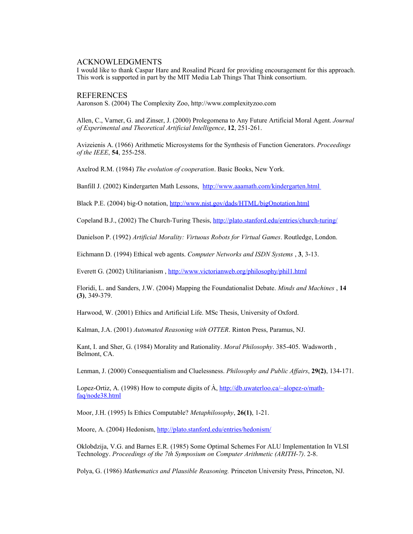## ACKNOWLEDGMENTS

I would like to thank Caspar Hare and Rosalind Picard for providing encouragement for this approach. This work is supported in part by the MIT Media Lab Things That Think consortium.

## REFERENCES

Aaronson S. (2004) The Complexity Zoo, http://www.complexityzoo.com

Allen, C., Varner, G. and Zinser, J. (2000) Prolegomena to Any Future Artificial Moral Agent. *Journal of Experimental and Theoretical Artificial Intelligence*, **12**, 251-261.

Avizeienis A. (1966) Arithmetic Microsystems for the Synthesis of Function Generators. *Proceedings of the IEEE*, **54**, 255-258.

Axelrod R.M. (1984) *The evolution of cooperation*. Basic Books, New York.

Banfill J. (2002) Kindergarten Math Lessons, http://www.aaamath.com/kindergarten.html

Black P.E. (2004) big-O notation, http://www.nist.gov/dads/HTML/bigOnotation.html

Copeland B.J., (2002) The Church-Turing Thesis, http://plato.stanford.edu/entries/church-turing/

Danielson P. (1992) *Artificial Morality: Virtuous Robots for Virtual Games*. Routledge, London.

Eichmann D. (1994) Ethical web agents. *Computer Networks and ISDN Systems* , **3**, 3-13.

Everett G. (2002) Utilitarianism , http://www.victorianweb.org/philosophy/phil1.html

Floridi, L. and Sanders, J.W. (2004) Mapping the Foundationalist Debate. *Minds and Machines* , **14 (3)**, 349-379.

Harwood, W. (2001) Ethics and Artificial Life. MSc Thesis, University of Oxford.

Kalman, J.A. (2001) *Automated Reasoning with OTTER*. Rinton Press, Paramus, NJ.

Kant, I. and Sher, G. (1984) Morality and Rationality. *Moral Philosophy*. 385-405. Wadsworth , Belmont, CA.

Lenman, J. (2000) Consequentialism and Cluelessness. *Philosophy and Public Affairs*, **29(2)**, 134-171.

Lopez-Ortiz, A. (1998) How to compute digits of  $\dot{A}$ , http://db.uwaterloo.ca/~alopez-o/mathfaq/node38.html

Moor, J.H. (1995) Is Ethics Computable? *Metaphilosophy*, **26(1)**, 1-21.

Moore, A. (2004) Hedonism, http://plato.stanford.edu/entries/hedonism/

Oklobdzija, V.G. and Barnes E.R. (1985) Some Optimal Schemes For ALU Implementation In VLSI Technology. *Proceedings of the 7th Symposium on Computer Arithmetic (ARITH-7)*. 2-8.

Polya, G. (1986) *Mathematics and Plausible Reasoning.* Princeton University Press, Princeton, NJ.